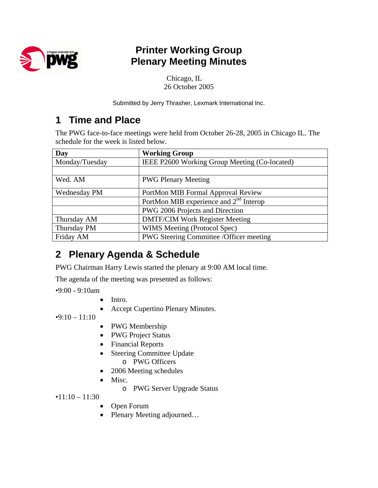

## **Printer Working Group Plenary Meeting Minutes**

Chicago, IL 26 October 2005

Submitted by Jerry Thrasher, Lexmark International Inc.

## **1 Time and Place**

The PWG face-to-face meetings were held from October 26-28, 2005 in Chicago IL. The schedule for the week is listed below.

| Day                 | <b>Working Group</b>                          |  |
|---------------------|-----------------------------------------------|--|
| Monday/Tuesday      | IEEE P2600 Working Group Meeting (Co-located) |  |
|                     |                                               |  |
| Wed. AM             | <b>PWG Plenary Meeting</b>                    |  |
| <b>Wednesday PM</b> | PortMon MIB Formal Approval Review            |  |
|                     | PortMon MIB experience and $2nd$ Interop      |  |
|                     | PWG 2006 Projects and Direction               |  |
| Thursday AM         | <b>DMTF/CIM Work Register Meeting</b>         |  |
| Thursday PM         | WIMS Meeting (Protocol Spec)                  |  |
| Friday AM           | PWG Steering Committee / Officer meeting      |  |

# **2 Plenary Agenda & Schedule**

PWG Chairman Harry Lewis started the plenary at 9:00 AM local time.

The agenda of the meeting was presented as follows:

•9:00 - 9:10am

- Intro.
- Accept Cupertino Plenary Minutes.

 $\cdot$ 9:10 – 11:10

- PWG Membership
- PWG Project Status
- Financial Reports
- Steering Committee Update
	- o PWG Officers
- 2006 Meeting schedules
- Misc.
	- o PWG Server Upgrade Status

 $•11:10 - 11:30$ 

- Open Forum
- Plenary Meeting adjourned...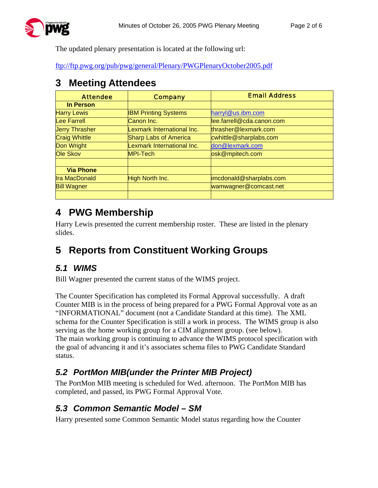The updated plenary presentation is located at the following url:

<ftp://ftp.pwg.org/pub/pwg/general/Plenary/PWGPlenaryOctober2005.pdf>

### **3 Meeting Attendees**

| <b>Attendee</b>       | <b>Company</b>               | <b>Email Address</b>      |
|-----------------------|------------------------------|---------------------------|
| In Person             |                              |                           |
| <b>Harry Lewis</b>    | <b>IBM Printing Systems</b>  | harryl@us.ibm.com         |
| <b>Lee Farrell</b>    | Canon Inc.                   | lee.farrell@cda.canon.com |
| <b>Jerry Thrasher</b> | Lexmark International Inc.   | thrasher@lexmark.com      |
| <b>Craig Whittle</b>  | <b>Sharp Labs of America</b> | cwhittle@sharplabs.com    |
| <b>Don Wright</b>     | Lexmark International Inc.   | don@lexmark.com           |
| Ole Skov              | MPI-Tech                     | osk@mpitech.com           |
|                       |                              |                           |
| <b>Via Phone</b>      |                              |                           |
| <b>Ira MacDonald</b>  | High North Inc.              | imcdonald@sharplabs.com   |
| <b>Bill Wagner</b>    |                              | wamwagner@comcast.net     |
|                       |                              |                           |

## **4 PWG Membership**

Harry Lewis presented the current membership roster. These are listed in the plenary slides.

# **5 Reports from Constituent Working Groups**

#### *5.1 WIMS*

Bill Wagner presented the current status of the WIMS project.

The Counter Specification has completed its Formal Approval successfully. A draft Counter MIB is in the process of being prepared for a PWG Formal Approval vote as an "INFORMATIONAL" document (not a Candidate Standard at this time). The XML schema for the Counter Specification is still a work in process. The WIMS group is also serving as the home working group for a CIM alignment group. (see below). The main working group is continuing to advance the WIMS protocol specification with the goal of advancing it and it's associates schema files to PWG Candidate Standard status.

### *5.2 PortMon MIB(under the Printer MIB Project)*

The PortMon MIB meeting is scheduled for Wed. afternoon. The PortMon MIB has completed, and passed, its PWG Formal Approval Vote.

#### *5.3 Common Semantic Model – SM*

Harry presented some Common Semantic Model status regarding how the Counter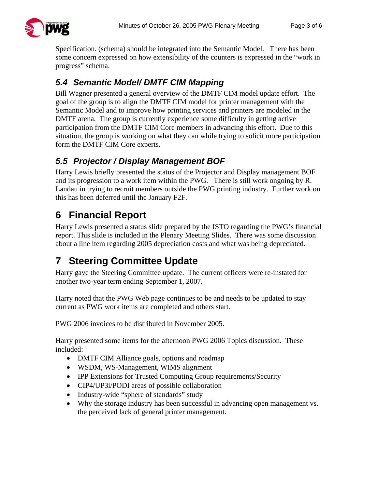

Specification. (schema) should be integrated into the Semantic Model. There has been some concern expressed on how extensibility of the counters is expressed in the "work in progress" schema.

### *5.4 Semantic Model/ DMTF CIM Mapping*

Bill Wagner presented a general overview of the DMTF CIM model update effort. The goal of the group is to align the DMTF CIM model for printer management with the Semantic Model and to improve how printing services and printers are modeled in the DMTF arena. The group is currently experience some difficulty in getting active participation from the DMTF CIM Core members in advancing this effort. Due to this situation, the group is working on what they can while trying to solicit more participation form the DMTF CIM Core experts.

### *5.5 Projector / Display Management BOF*

Harry Lewis briefly presented the status of the Projector and Display management BOF and its progression to a work item within the PWG. There is still work ongoing by R. Landau in trying to recruit members outside the PWG printing industry. Further work on this has been deferred until the January F2F.

# **6 Financial Report**

Harry Lewis presented a status slide prepared by the ISTO regarding the PWG's financial report. This slide is included in the Plenary Meeting Slides. There was some discussion about a line item regarding 2005 depreciation costs and what was being depreciated.

# **7 Steering Committee Update**

Harry gave the Steering Committee update. The current officers were re-instated for another two-year term ending September 1, 2007.

Harry noted that the PWG Web page continues to be and needs to be updated to stay current as PWG work items are completed and others start.

PWG 2006 invoices to be distributed in November 2005.

Harry presented some items for the afternoon PWG 2006 Topics discussion. These included:

- DMTF CIM Alliance goals, options and roadmap
- WSDM, WS-Management, WIMS alignment
- IPP Extensions for Trusted Computing Group requirements/Security
- CIP4/UP3i/PODI areas of possible collaboration
- Industry-wide "sphere of standards" study
- Why the storage industry has been successful in advancing open management vs. the perceived lack of general printer management.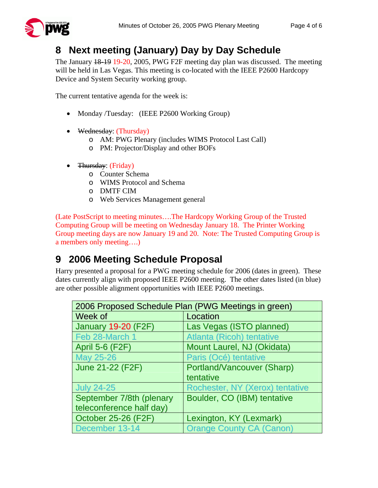

# **8 Next meeting (January) Day by Day Schedule**

The January 18-19 19-20, 2005, PWG F2F meeting day plan was discussed. The meeting will be held in Las Vegas. This meeting is co-located with the IEEE P2600 Hardcopy Device and System Security working group.

The current tentative agenda for the week is:

- Monday /Tuesday: (IEEE P2600 Working Group)
- Wednesday: (Thursday)
	- o AM: PWG Plenary (includes WIMS Protocol Last Call)
	- o PM: Projector/Display and other BOFs
- Thursday: (Friday)
	- o Counter Schema
	- o WIMS Protocol and Schema
	- o DMTF CIM
	- o Web Services Management general

(Late PostScript to meeting minutes….The Hardcopy Working Group of the Trusted Computing Group will be meeting on Wednesday January 18. The Printer Working Group meeting days are now January 19 and 20. Note: The Trusted Computing Group is a members only meeting….)

## **9 2006 Meeting Schedule Proposal**

Harry presented a proposal for a PWG meeting schedule for 2006 (dates in green). These dates currently align with proposed IEEE P2600 meeting. The other dates listed (in blue) are other possible alignment opportunities with IEEE P2600 meetings.

| 2006 Proposed Schedule Plan (PWG Meetings in green) |                                  |  |
|-----------------------------------------------------|----------------------------------|--|
| Week of                                             | Location                         |  |
| <b>January 19-20 (F2F)</b>                          | Las Vegas (ISTO planned)         |  |
| Feb 28-March 1                                      | <b>Atlanta (Ricoh) tentative</b> |  |
| <b>April 5-6 (F2F)</b>                              | Mount Laurel, NJ (Okidata)       |  |
| <b>May 25-26</b>                                    | Paris (Océ) tentative            |  |
| <b>June 21-22 (F2F)</b>                             | Portland/Vancouver (Sharp)       |  |
|                                                     | tentative                        |  |
| <b>July 24-25</b>                                   | Rochester, NY (Xerox) tentative  |  |
| September 7/8th (plenary                            | Boulder, CO (IBM) tentative      |  |
| teleconference half day)                            |                                  |  |
| <b>October 25-26 (F2F)</b>                          | Lexington, KY (Lexmark)          |  |
| December 13-14                                      | <b>Orange County CA (Canon)</b>  |  |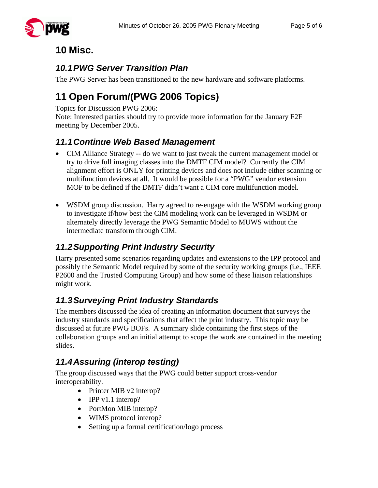### **10 Misc.**

### *10.1 PWG Server Transition Plan*

The PWG Server has been transitioned to the new hardware and software platforms.

# **11 Open Forum/(PWG 2006 Topics)**

Topics for Discussion PWG 2006:

Note: Interested parties should try to provide more information for the January F2F meeting by December 2005.

#### *11.1 Continue Web Based Management*

- CIM Alliance Strategy -- do we want to just tweak the current management model or try to drive full imaging classes into the DMTF CIM model? Currently the CIM alignment effort is ONLY for printing devices and does not include either scanning or multifunction devices at all. It would be possible for a "PWG" vendor extension MOF to be defined if the DMTF didn't want a CIM core multifunction model.
- WSDM group discussion. Harry agreed to re-engage with the WSDM working group to investigate if/how best the CIM modeling work can be leveraged in WSDM or alternately directly leverage the PWG Semantic Model to MUWS without the intermediate transform through CIM.

### *11.2 Supporting Print Industry Security*

Harry presented some scenarios regarding updates and extensions to the IPP protocol and possibly the Semantic Model required by some of the security working groups (i.e., IEEE P2600 and the Trusted Computing Group) and how some of these liaison relationships might work.

### *11.3 Surveying Print Industry Standards*

The members discussed the idea of creating an information document that surveys the industry standards and specifications that affect the print industry. This topic may be discussed at future PWG BOFs. A summary slide containing the first steps of the collaboration groups and an initial attempt to scope the work are contained in the meeting slides.

### *11.4 Assuring (interop testing)*

The group discussed ways that the PWG could better support cross-vendor interoperability.

- Printer MIB v2 interop?
- IPP v1.1 interop?
- PortMon MIB interop?
- WIMS protocol interop?
- Setting up a formal certification/logo process